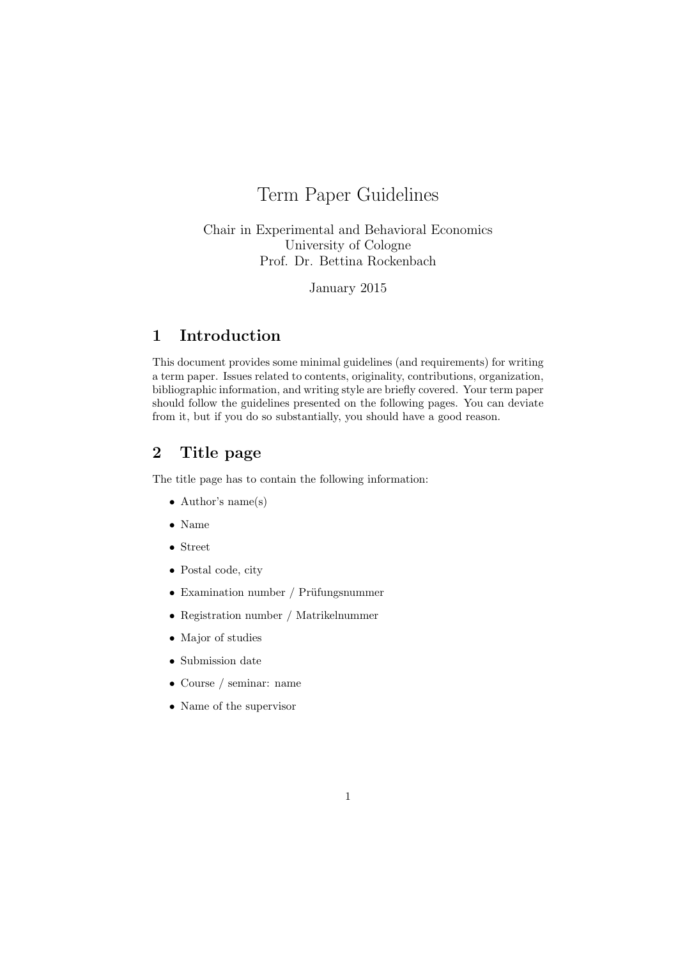# Term Paper Guidelines

# Chair in Experimental and Behavioral Economics University of Cologne Prof. Dr. Bettina Rockenbach

January 2015

# 1 Introduction

This document provides some minimal guidelines (and requirements) for writing a term paper. Issues related to contents, originality, contributions, organization, bibliographic information, and writing style are briefly covered. Your term paper should follow the guidelines presented on the following pages. You can deviate from it, but if you do so substantially, you should have a good reason.

# 2 Title page

The title page has to contain the following information:

- Author's name(s)
- Name
- Street
- Postal code, city
- Examination number / Prüfungsnummer
- Registration number / Matrikelnummer
- Major of studies
- Submission date
- Course / seminar: name
- Name of the supervisor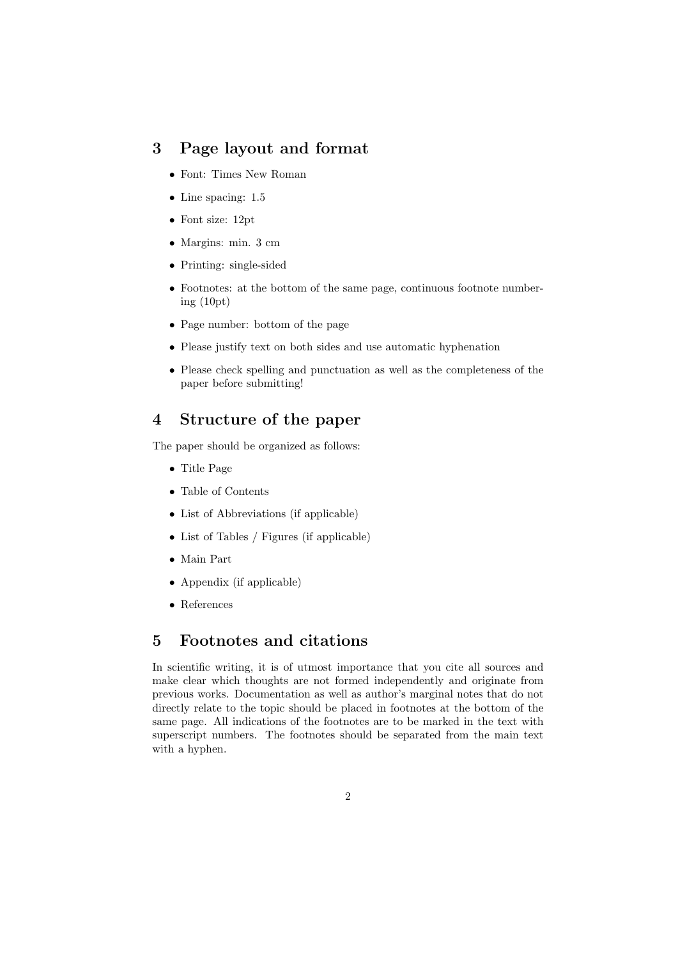# 3 Page layout and format

- Font: Times New Roman
- Line spacing: 1.5
- Font size: 12pt
- Margins: min. 3 cm
- Printing: single-sided
- Footnotes: at the bottom of the same page, continuous footnote numbering (10pt)
- Page number: bottom of the page
- Please justify text on both sides and use automatic hyphenation
- Please check spelling and punctuation as well as the completeness of the paper before submitting!

# 4 Structure of the paper

The paper should be organized as follows:

- Title Page
- Table of Contents
- List of Abbreviations (if applicable)
- List of Tables / Figures (if applicable)
- Main Part
- Appendix (if applicable)
- References

### 5 Footnotes and citations

In scientific writing, it is of utmost importance that you cite all sources and make clear which thoughts are not formed independently and originate from previous works. Documentation as well as author's marginal notes that do not directly relate to the topic should be placed in footnotes at the bottom of the same page. All indications of the footnotes are to be marked in the text with superscript numbers. The footnotes should be separated from the main text with a hyphen.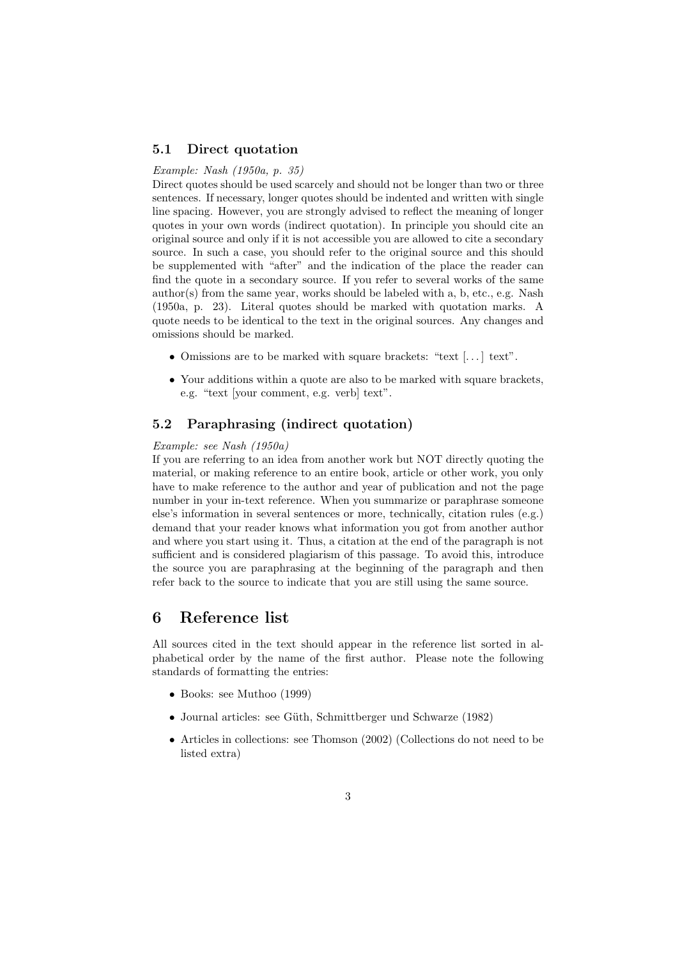#### 5.1 Direct quotation

#### Example: Nash (1950a, p. 35)

Direct quotes should be used scarcely and should not be longer than two or three sentences. If necessary, longer quotes should be indented and written with single line spacing. However, you are strongly advised to reflect the meaning of longer quotes in your own words (indirect quotation). In principle you should cite an original source and only if it is not accessible you are allowed to cite a secondary source. In such a case, you should refer to the original source and this should be supplemented with "after" and the indication of the place the reader can find the quote in a secondary source. If you refer to several works of the same  $\text{author(s)}$  from the same year, works should be labeled with a, b, etc., e.g. Nash (1950a, p. 23). Literal quotes should be marked with quotation marks. A quote needs to be identical to the text in the original sources. Any changes and omissions should be marked.

- Omissions are to be marked with square brackets: "text [. . . ] text".
- Your additions within a quote are also to be marked with square brackets, e.g. "text [your comment, e.g. verb] text".

#### 5.2 Paraphrasing (indirect quotation)

#### Example: see Nash (1950a)

If you are referring to an idea from another work but NOT directly quoting the material, or making reference to an entire book, article or other work, you only have to make reference to the author and year of publication and not the page number in your in-text reference. When you summarize or paraphrase someone else's information in several sentences or more, technically, citation rules (e.g.) demand that your reader knows what information you got from another author and where you start using it. Thus, a citation at the end of the paragraph is not sufficient and is considered plagiarism of this passage. To avoid this, introduce the source you are paraphrasing at the beginning of the paragraph and then refer back to the source to indicate that you are still using the same source.

### 6 Reference list

All sources cited in the text should appear in the reference list sorted in alphabetical order by the name of the first author. Please note the following standards of formatting the entries:

- Books: see Muthoo (1999)
- Journal articles: see Güth, Schmittberger und Schwarze (1982)
- Articles in collections: see Thomson (2002) (Collections do not need to be listed extra)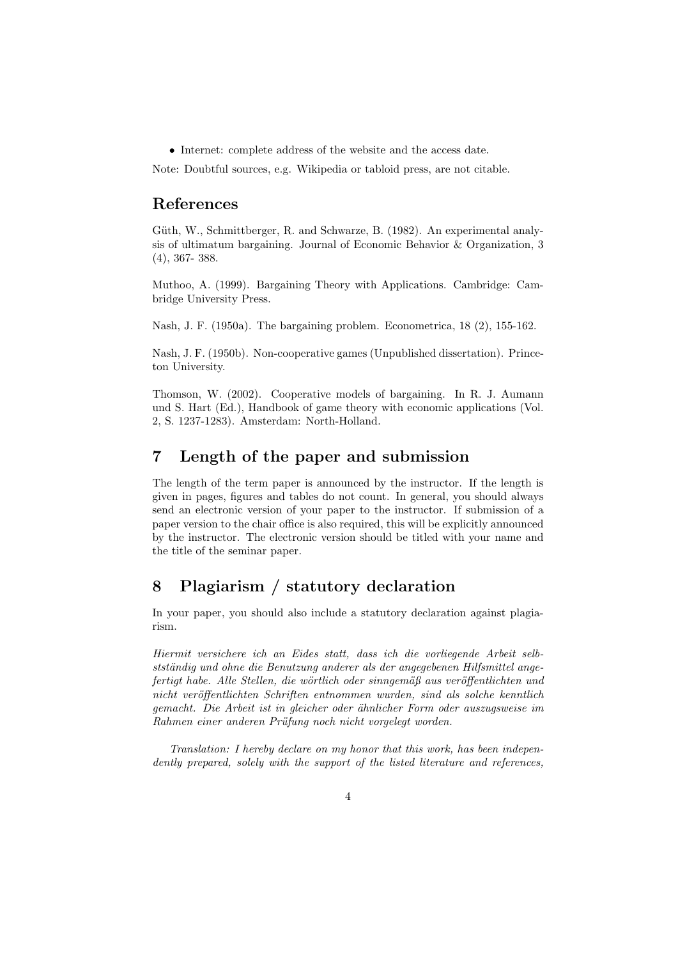• Internet: complete address of the website and the access date.

Note: Doubtful sources, e.g. Wikipedia or tabloid press, are not citable.

### References

Güth, W., Schmittberger, R. and Schwarze, B. (1982). An experimental analysis of ultimatum bargaining. Journal of Economic Behavior & Organization, 3 (4), 367- 388.

Muthoo, A. (1999). Bargaining Theory with Applications. Cambridge: Cambridge University Press.

Nash, J. F. (1950a). The bargaining problem. Econometrica, 18 (2), 155-162.

Nash, J. F. (1950b). Non-cooperative games (Unpublished dissertation). Princeton University.

Thomson, W. (2002). Cooperative models of bargaining. In R. J. Aumann und S. Hart (Ed.), Handbook of game theory with economic applications (Vol. 2, S. 1237-1283). Amsterdam: North-Holland.

# 7 Length of the paper and submission

The length of the term paper is announced by the instructor. If the length is given in pages, figures and tables do not count. In general, you should always send an electronic version of your paper to the instructor. If submission of a paper version to the chair office is also required, this will be explicitly announced by the instructor. The electronic version should be titled with your name and the title of the seminar paper.

# 8 Plagiarism / statutory declaration

In your paper, you should also include a statutory declaration against plagiarism.

Hiermit versichere ich an Eides statt, dass ich die vorliegende Arbeit selbstständig und ohne die Benutzung anderer als der angegebenen Hilfsmittel angefertigt habe. Alle Stellen, die wörtlich oder sinngemäß aus veröffentlichten und nicht veröffentlichten Schriften entnommen wurden, sind als solche kenntlich gemacht. Die Arbeit ist in gleicher oder ähnlicher Form oder auszugsweise im Rahmen einer anderen Prüfung noch nicht vorgelegt worden.

Translation: I hereby declare on my honor that this work, has been independently prepared, solely with the support of the listed literature and references,